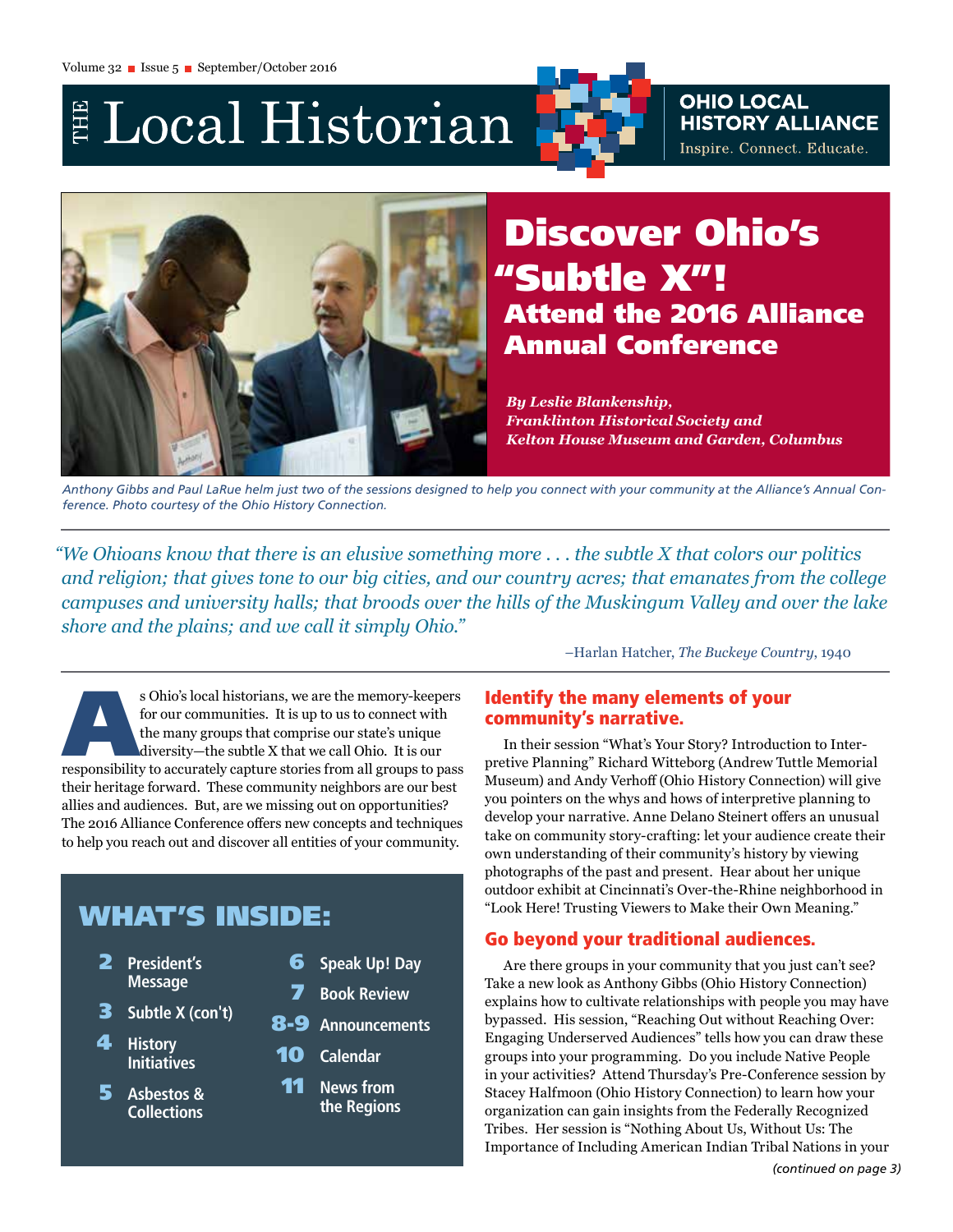E Local Historian

**OHIO LOCAL<br>HISTORY ALLIANCE** Inspire. Connect. Educate.



# Discover Ohio's "Subtle X"! Attend the 2016 Alliance Annual Conference

*By Leslie Blankenship, Franklinton Historical Society and Kelton House Museum and Garden, Columbus*

*Anthony Gibbs and Paul LaRue helm just two of the sessions designed to help you connect with your community at the Alliance's Annual Conference. Photo courtesy of the Ohio History Connection.* 

*"We Ohioans know that there is an elusive something more . . . the subtle X that colors our politics and religion; that gives tone to our big cities, and our country acres; that emanates from the college campuses and university halls; that broods over the hills of the Muskingum Valley and over the lake shore and the plains; and we call it simply Ohio."*

–Harlan Hatcher, *The Buckeye Country*, 1940

s Ohio's local historians, we are the memory-keepers<br>for our communities. It is up to us to connect with<br>the many groups that comprise our state's unique<br>diversity—the subtle X that we call Ohio. It is our<br>responsibility t for our communities. It is up to us to connect with the many groups that comprise our state's unique diversity—the subtle X that we call Ohio. It is our their heritage forward. These community neighbors are our best allies and audiences. But, are we missing out on opportunities? The 2016 Alliance Conference offers new concepts and techniques to help you reach out and discover all entities of your community.

# WHAT'S INSIDE:

- 2 **President's Message**
- 3 **Subtle X (con't)**
- 4 **History Initiatives**
- 5 **Asbestos & Collections**
- 6 **Speak Up! Day**
- 7 **Book Review**
- 8-9 **Announcements**
- 10 **Calendar**
- 11 **News from the Regions**

### Identify the many elements of your community's narrative.

In their session "What's Your Story? Introduction to Interpretive Planning" Richard Witteborg (Andrew Tuttle Memorial Museum) and Andy Verhoff (Ohio History Connection) will give you pointers on the whys and hows of interpretive planning to develop your narrative. Anne Delano Steinert offers an unusual take on community story-crafting: let your audience create their own understanding of their community's history by viewing photographs of the past and present. Hear about her unique outdoor exhibit at Cincinnati's Over-the-Rhine neighborhood in "Look Here! Trusting Viewers to Make their Own Meaning."

## Go beyond your traditional audiences.

Are there groups in your community that you just can't see? Take a new look as Anthony Gibbs (Ohio History Connection) explains how to cultivate relationships with people you may have bypassed. His session, "Reaching Out without Reaching Over: Engaging Underserved Audiences" tells how you can draw these groups into your programming. Do you include Native People in your activities? Attend Thursday's Pre-Conference session by Stacey Halfmoon (Ohio History Connection) to learn how your organization can gain insights from the Federally Recognized Tribes. Her session is "Nothing About Us, Without Us: The Importance of Including American Indian Tribal Nations in your *(continued on page 3)*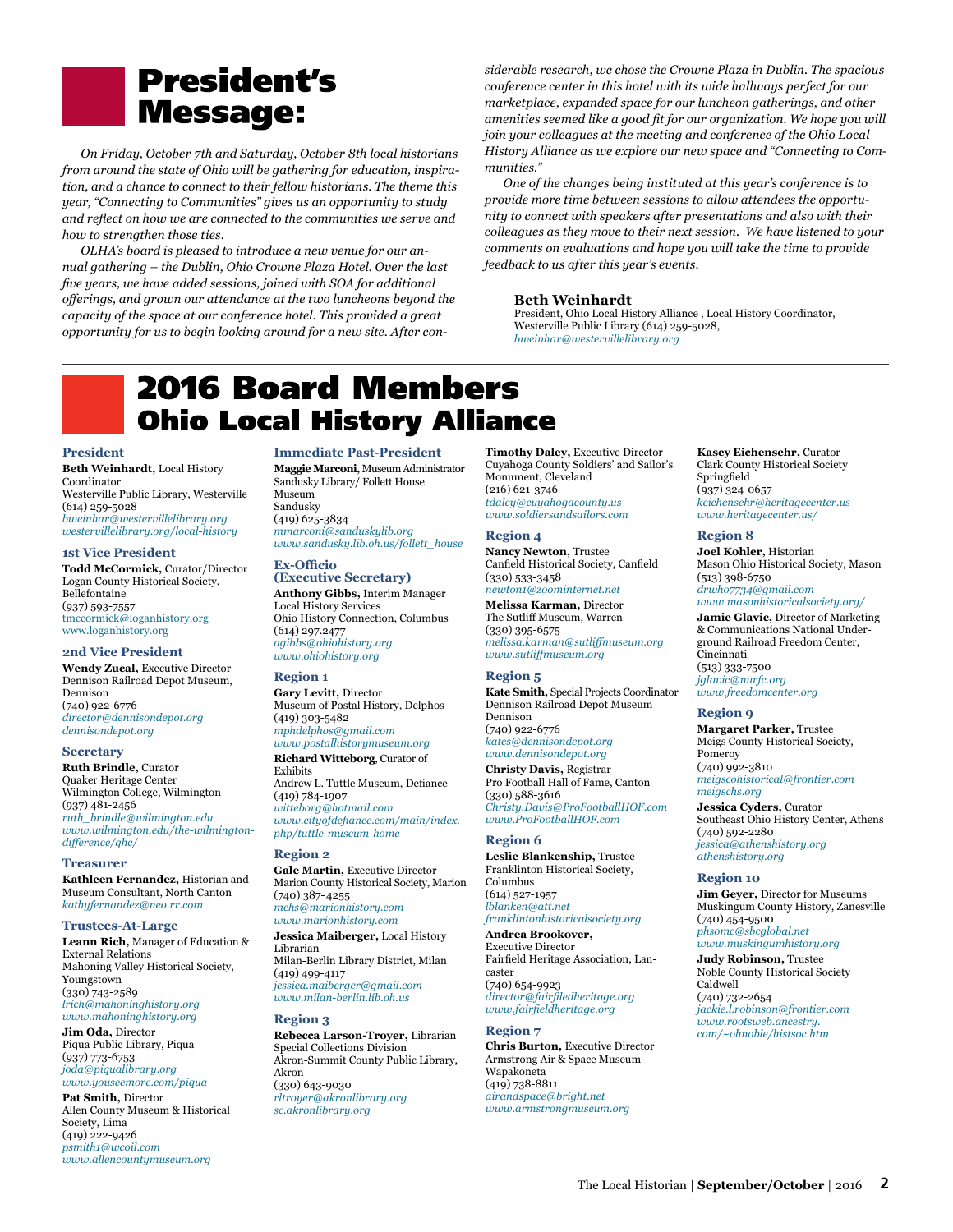# **President's Message:**

*On Friday, October 7th and Saturday, October 8th local historians from around the state of Ohio will be gathering for education, inspiration, and a chance to connect to their fellow historians. The theme this year, "Connecting to Communities" gives us an opportunity to study and reflect on how we are connected to the communities we serve and how to strengthen those ties.*

*OLHA's board is pleased to introduce a new venue for our annual gathering – the Dublin, Ohio Crowne Plaza Hotel. Over the last five years, we have added sessions, joined with SOA for additional offerings, and grown our attendance at the two luncheons beyond the capacity of the space at our conference hotel. This provided a great opportunity for us to begin looking around for a new site. After con-*

*siderable research, we chose the Crowne Plaza in Dublin. The spacious conference center in this hotel with its wide hallways perfect for our marketplace, expanded space for our luncheon gatherings, and other amenities seemed like a good fit for our organization. We hope you will join your colleagues at the meeting and conference of the Ohio Local History Alliance as we explore our new space and "Connecting to Communities."*

*One of the changes being instituted at this year's conference is to provide more time between sessions to allow attendees the opportunity to connect with speakers after presentations and also with their colleagues as they move to their next session. We have listened to your comments on evaluations and hope you will take the time to provide feedback to us after this year's events.*

### **Beth Weinhardt**

President, Ohio Local History Alliance , Local History Coordinator, Westerville Public Library (614) 259-5028, *[bweinhar@westervillelibrary.org](mailto:bweinhar@westervillelibrary.org)*

# **2016 Board Members Ohio Local History Alliance**

#### **President**

**Beth Weinhardt,** Local History Coordinator Westerville Public Library, Westerville (614) 259-5028 *[bweinhar@westervillelibrary.org](mailto:bweinhar@westervillelibrary.org) [westervillelibrary.org/local-history](http://westervillelibrary.org/local-history)*

#### **1st Vice President**

**Todd McCormick,** Curator/Director Logan County Historical Society, Bellefontaine (937) 593-7557 [tmccormick@loganhistory.org](mailto:tmccormick@loganhistory.org) [www.loganhistory.org](http://www.loganhistory.org)

#### **2nd Vice President**

**Wendy Zucal,** Executive Director Dennison Railroad Depot Museum, Dennison (740) 922-6776 *[director@dennisondepot.org](mailto:director@dennisondepot.org) [dennisondepot.org](http://dennisondepot.org)*

#### **Secretary**

**Ruth Brindle,** Curator Quaker Heritage Center Wilmington College, Wilmington (937) 481-2456 *[ruth\\_brindle@wilmington.edu](mailto:ruth_brindle@wilmington.edu) [www.wilmington.edu/the-wilmington](http://www.wilmington.edu/the-wilmington-difference/qhc/ )[difference/qhc/](http://www.wilmington.edu/the-wilmington-difference/qhc/ )*

#### **Treasurer**

**Kathleen Fernandez,** Historian and Museum Consultant, North Canton *[kathyfernandez@neo.rr.com](mailto:kathyfernandez%40neo.rr.com?subject=)*

#### **Trustees-At-Large**

**Leann Rich,** Manager of Education & External Relations Mahoning Valley Historical Society, Youngstown (330) 743-2589 *[lrich@mahoninghistory.org](mailto:lrich@mahoninghistory.org) [www.mahoninghistory.org](http://www.mahoninghistory.org)*

**Jim Oda,** Director Piqua Public Library, Piqua (937) 773-6753 *[joda@piqualibrary.org](mailto:joda@piqualibrary.org) [www.youseemore.com/piqua](http://www.youseemore.com/piqua)*

### **Pat Smith,** Director

Allen County Museum & Historical Society, Lima (419) 222-9426 *[psmith1@wcoil.com](mailto:psmith1@wcoil.com) [www.allencountymuseum.org](http://www.allencountymuseum.org)*

**Immediate Past-President Maggie Marconi,** Museum Administrator Sandusky Library/ Follett House Museum Sandusky (419) 625-3834 *[mmarconi@sanduskylib.org](mailto:mmarconi@sanduskylib.org)  [www.sandusky.lib.oh.us/follett\\_](http://www.sandusky.lib.oh.us/follett_house)house*

#### **Ex-Officio**

**(Executive Secretary) Anthony Gibbs,** Interim Manager Local History Services Ohio History Connection, Columbus (614) 297.2477 *[agibbs@ohiohistory.org](mailto:agibbs@ohiohistory.org) [www.ohiohistory.org](http://www.ohiohistory.org)* 

### **Region 1**

**Gary Levitt,** Director Museum of Postal History, Delphos (419) 303-5482 *[mphdelphos@gmail.com](mailto:mphdelphos@gmail.com) [www.postalhistorymuseum.org](http://www.postalhistorymuseum.org)*

**Richard Witteborg**, Curator of Exhibits Andrew L. Tuttle Museum, Defiance (419) 784-1907 *[witteborg@hotmail.com](mailto:witteborg%40hotmail.com?subject=)*

*[www.cityofdefiance.com/main/index.](http://www.cityofdefiance.com/main/index.php/tuttle-museum-home ) [php/tuttle-museum-home](http://www.cityofdefiance.com/main/index.php/tuttle-museum-home )* 

### **Region 2**

**Gale Martin,** Executive Director Marion County Historical Society, Marion (740) 387- 4255 *[mchs@marionhistory.com](mailto:mchs@marionhistory.com) [www.marionhistory.com](http://www.marionhistory.com)*

**Jessica Maiberger,** Local History Librarian Milan-Berlin Library District, Milan (419) 499-4117 *[jessica.maiberger@gmail.com](mailto:jessica.maiberger@gmail.com) [www.milan-berlin.lib.oh.us](http://www.milan-berlin.lib.oh.us/)* 

### **Region 3**

**Rebecca Larson-Troyer,** Librarian Special Collections Division Akron-Summit County Public Library, Akron (330) 643-9030 *[rltroyer@akronlibrary.org](mailto:rltroyer@akronlibrary.org) [sc.akronlibrary.org](http://sc.akronlibrary.org)*

**Timothy Daley,** Executive Director Cuyahoga County Soldiers' and Sailor's Monument, Cleveland (216) 621-3746 *[tdaley@cuyahogacounty.us](mailto:tdaley@cuyahogacounty.us) [www.soldiersandsailors.com](http://www.soldiersandsailors.com)*

### **Region 4**

**Nancy Newton,** Trustee Canfield Historical Society, Canfield (330) 533-3458 *[newton1@zoominternet.net](mailto:newton1@zoominternet.net)*

**Melissa Karman,** Director The Sutliff Museum, Warren (330) 395-6575 *[melissa.karman@sutliffmuseum.org](mailto:melissa.karman@sutliffmuseum.org)  [www.sutliffmuseum.org](http://www.sutliffmuseum.org/)*

### **Region 5**

**Kate Smith,** Special Projects Coordinator Dennison Railroad Depot Museum Dennison (740) 922-6776 *[kates@dennisondepot.org](mailto:kates@dennisondepot.org) [www.dennisondepot.org](http://www.dennisondepot.org)*

**Christy Davis,** Registrar Pro Football Hall of Fame, Canton (330) 588-3616 *[Christy.Davis@ProFootballHOF.com](mailto:Christy.Davis@ProFootballHOF.com)* 

*[www.ProFootballHOF.com](http://www.profootballhof.com/)* **Region 6**

**Leslie Blankenship,** Trustee Franklinton Historical Society, Columbus (614) 527-1957 *[lblanken@att.net](mailto:lblanken@att.net)* 

*[franklintonhistoricalsociety.org](http://franklintonhistoricalsociety.org)* **Andrea Brookover,**  Executive Director Fairfield Heritage Association, Lancaster (740) 654-9923 *[director@fairfiledheritage.org](mailto:director@fairfiledheritage.org)*

*[www.fairfieldheritage.org](http://www.fairfieldheritage.org)*

**Region 7 Chris Burton,** Executive Director Armstrong Air & Space Museum Wapakoneta (419) 738-8811 *[airandspace@bright.net](mailto:airandspace@bright.net)  [www.armstrongmuseum.org](http://www.armstrongmuseum.org)*

**Kasey Eichensehr,** Curator Clark County Historical Society Springfield (937) 324-0657 *[keichensehr@heritagecenter.us](mailto:keichensehr@heritagecenter.us) [www.heritagecenter.us/](http://www.heritagecenter.us)*

### **Region 8**

**Joel Kohler,** Historian Mason Ohio Historical Society, Mason (513) 398-6750 *[drwho7734@gmail.com](mailto:drwho7734@gmail.com) [www.masonhistoricalsociety.org/](http://www.masonhistoricalsociety.org)*

**Jamie Glavic,** Director of Marketing & Communications National Underground Railroad Freedom Center, Cincinnati (513) 333-7500 *[jglavic@nurfc.org](mailto:jglavic@nurfc.org) [www.freedomcenter.org](http://www.freedomcenter.org)*

#### **Region 9**

**Margaret Parker,** Trustee Meigs County Historical Society, Pomeroy (740) 992-3810 *[meigscohistorical@frontier.com](mailto:meigscohistorical@frontier.com) [meigschs.org](http://www.meigschs.org)*

**Jessica Cyders,** Curator Southeast Ohio History Center, Athens (740) 592-2280 *[jessica@athenshistory.org](mailto:jessica@athenshistory.org) [athenshistory.org](http://athenshistory.org)*

#### **Region 10**

**Jim Geyer,** Director for Museums Muskingum County History, Zanesville (740) 454-9500 *[phsomc@sbcglobal.net](mailto:phsomc@sbcglobal.net) [www.muskingumhistory.org](http://www.muskingumhistory.org)*

**Judy Robinson,** Trustee Noble County Historical Society Caldwell (740) 732-2654 *[jackie.l.robinson@frontier.com](mailto:jackie.l.robinson@frontier.com) [www.rootsweb.ancestry.](http://www.rootsweb.ancestry.com/~ohnoble/histsoc.htm) [com/~ohnoble/histsoc.htm](http://www.rootsweb.ancestry.com/~ohnoble/histsoc.htm)*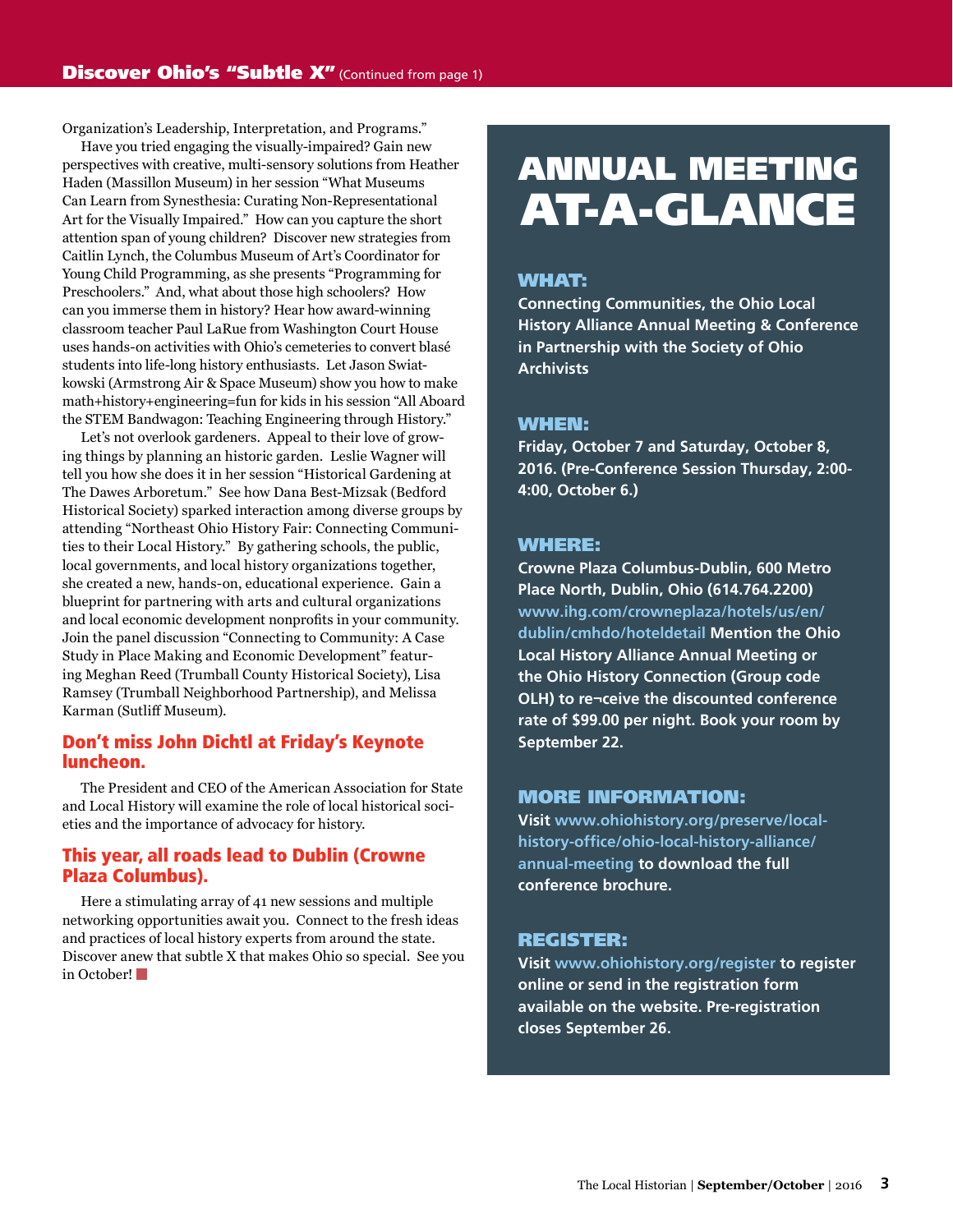Organization's Leadership, Interpretation, and Programs."

Have you tried engaging the visually-impaired? Gain new perspectives with creative, multi-sensory solutions from Heather Haden (Massillon Museum) in her session "What Museums Can Learn from Synesthesia: Curating Non-Representational Art for the Visually Impaired." How can you capture the short attention span of young children? Discover new strategies from Caitlin Lynch, the Columbus Museum of Art's Coordinator for Young Child Programming, as she presents "Programming for Preschoolers." And, what about those high schoolers? How can you immerse them in history? Hear how award-winning classroom teacher Paul LaRue from Washington Court House uses hands-on activities with Ohio's cemeteries to convert blasé students into life-long history enthusiasts. Let Jason Swiatkowski (Armstrong Air & Space Museum) show you how to make math+history+engineering=fun for kids in his session "All Aboard the STEM Bandwagon: Teaching Engineering through History."

Let's not overlook gardeners. Appeal to their love of growing things by planning an historic garden. Leslie Wagner will tell you how she does it in her session "Historical Gardening at The Dawes Arboretum." See how Dana Best-Mizsak (Bedford Historical Society) sparked interaction among diverse groups by attending "Northeast Ohio History Fair: Connecting Communities to their Local History." By gathering schools, the public, local governments, and local history organizations together, she created a new, hands-on, educational experience. Gain a blueprint for partnering with arts and cultural organizations and local economic development nonprofits in your community. Join the panel discussion "Connecting to Community: A Case Study in Place Making and Economic Development" featuring Meghan Reed (Trumball County Historical Society), Lisa Ramsey (Trumball Neighborhood Partnership), and Melissa Karman (Sutliff Museum).

### Don't miss John Dichtl at Friday's Keynote luncheon.

The President and CEO of the American Association for State and Local History will examine the role of local historical societies and the importance of advocacy for history.

### This year, all roads lead to Dublin (Crowne Plaza Columbus).

Here a stimulating array of 41 new sessions and multiple networking opportunities await you. Connect to the fresh ideas and practices of local history experts from around the state. Discover anew that subtle X that makes Ohio so special. See you in October!

# ANNUAL MEETING AT-A-GLANCE

### WHAT:

**Connecting Communities, the Ohio Local History Alliance Annual Meeting & Conference in Partnership with the Society of Ohio Archivists**

### WHEN:

**Friday, October 7 and Saturday, October 8, 2016. (Pre-Conference Session Thursday, 2:00- 4:00, October 6.)**

### WHERE:

**Crowne Plaza Columbus-Dublin, 600 Metro Place North, Dublin, Ohio (614.764.2200) [www.ihg.com/crowneplaza/hotels/us/en/](https://www.ihg.com/crowneplaza/hotels/us/en/dublin/cmhdo/hoteldetail ) [dublin/cmhdo/hoteldetail](https://www.ihg.com/crowneplaza/hotels/us/en/dublin/cmhdo/hoteldetail ) Mention the Ohio Local History Alliance Annual Meeting or the Ohio History Connection (Group code OLH) to re¬ceive the discounted conference rate of \$99.00 per night. Book your room by September 22.**

### MORE INFORMATION:

**Visit [www.ohiohistory.org/preserve/local](https://www.ohiohistory.org/preserve/local-history-office/ohio-local-history-alliance/annual-meeting)[history-office/ohio-local-history-alliance/](https://www.ohiohistory.org/preserve/local-history-office/ohio-local-history-alliance/annual-meeting) [annual](https://www.ohiohistory.org/preserve/local-history-office/ohio-local-history-alliance/annual-meeting)-meeting to download the full conference brochure.** 

### REGISTER:

**Visit [www.ohiohistory.org/register](http://www.ohiohistory.org/register) to register online or send in the registration form available on the website. Pre-registration closes September 26.**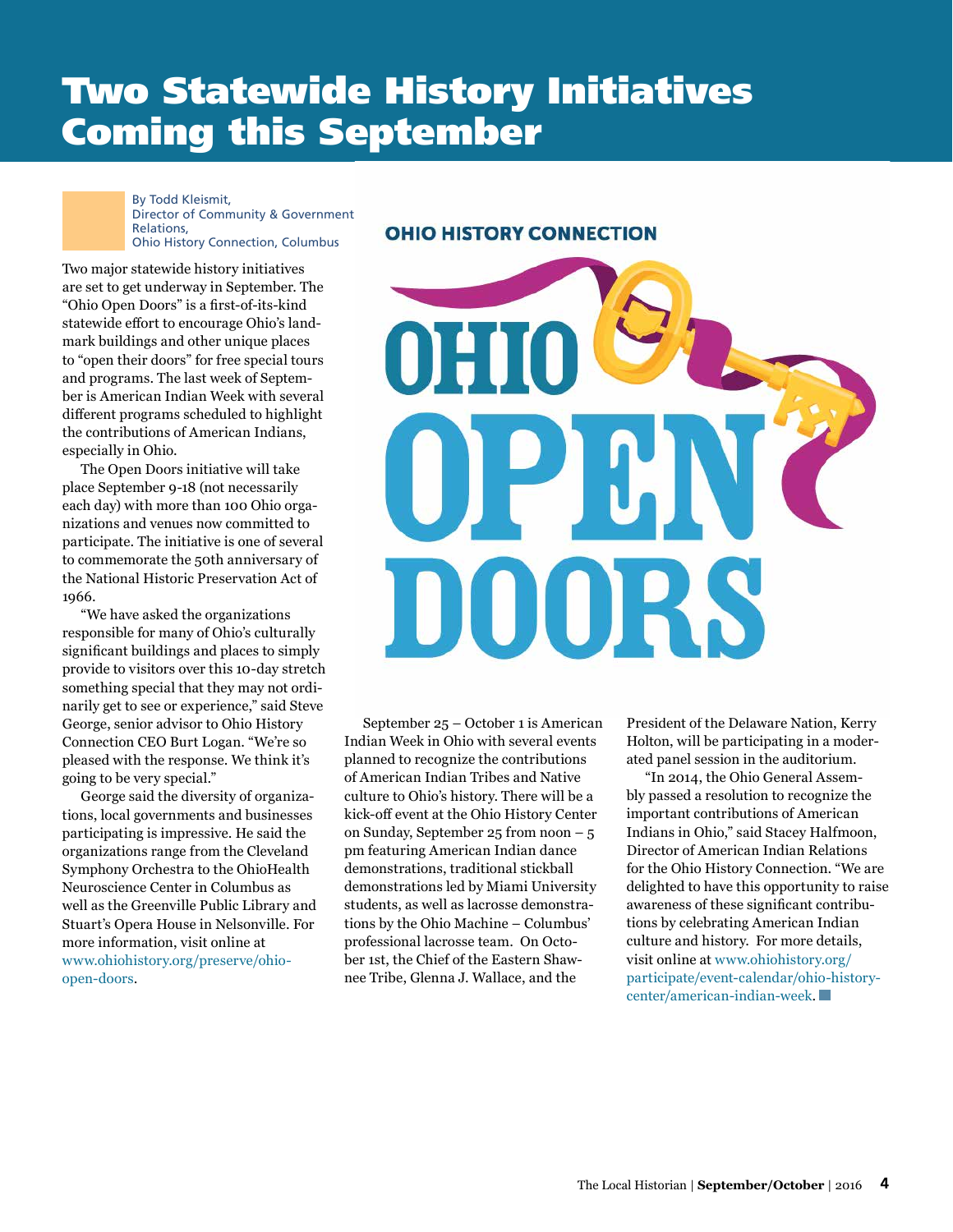# Two Statewide History Initiatives Coming this September

By Todd Kleismit, Director of Community & Government Relations, Ohio History Connection, Columbus

Two major statewide history initiatives are set to get underway in September. The "Ohio Open Doors" is a first-of-its-kind statewide effort to encourage Ohio's landmark buildings and other unique places to "open their doors" for free special tours and programs. The last week of September is American Indian Week with several different programs scheduled to highlight the contributions of American Indians, especially in Ohio.

The Open Doors initiative will take place September 9-18 (not necessarily each day) with more than 100 Ohio organizations and venues now committed to participate. The initiative is one of several to commemorate the 50th anniversary of the National Historic Preservation Act of 1966.

"We have asked the organizations responsible for many of Ohio's culturally significant buildings and places to simply provide to visitors over this 10-day stretch something special that they may not ordinarily get to see or experience," said Steve George, senior advisor to Ohio History Connection CEO Burt Logan. "We're so pleased with the response. We think it's going to be very special."

George said the diversity of organizations, local governments and businesses participating is impressive. He said the organizations range from the Cleveland Symphony Orchestra to the OhioHealth Neuroscience Center in Columbus as well as the Greenville Public Library and Stuart's Opera House in Nelsonville. For more information, visit online at [www.ohiohistory.org/preserve/ohio](https://www.ohiohistory.org/preserve/ohio-open-doors)[open-doors](https://www.ohiohistory.org/preserve/ohio-open-doors).

### **OHIO HISTORY CONNECTION**



September 25 – October 1 is American Indian Week in Ohio with several events planned to recognize the contributions of American Indian Tribes and Native culture to Ohio's history. There will be a kick-off event at the Ohio History Center on Sunday, September 25 from noon  $-5$ pm featuring American Indian dance demonstrations, traditional stickball demonstrations led by Miami University students, as well as lacrosse demonstrations by the Ohio Machine – Columbus' professional lacrosse team. On October 1st, the Chief of the Eastern Shawnee Tribe, Glenna J. Wallace, and the

President of the Delaware Nation, Kerry Holton, will be participating in a moderated panel session in the auditorium.

"In 2014, the Ohio General Assembly passed a resolution to recognize the important contributions of American Indians in Ohio," said Stacey Halfmoon, Director of American Indian Relations for the Ohio History Connection. "We are delighted to have this opportunity to raise awareness of these significant contributions by celebrating American Indian culture and history. For more details, visit online at [www.ohiohistory.org/](https://www.ohiohistory.org/participate/event-calendar/ohio-history-center/american-indian-week) [participate/event-calendar/ohio-history](https://www.ohiohistory.org/participate/event-calendar/ohio-history-center/american-indian-week)[center/american-indian-week](https://www.ohiohistory.org/participate/event-calendar/ohio-history-center/american-indian-week).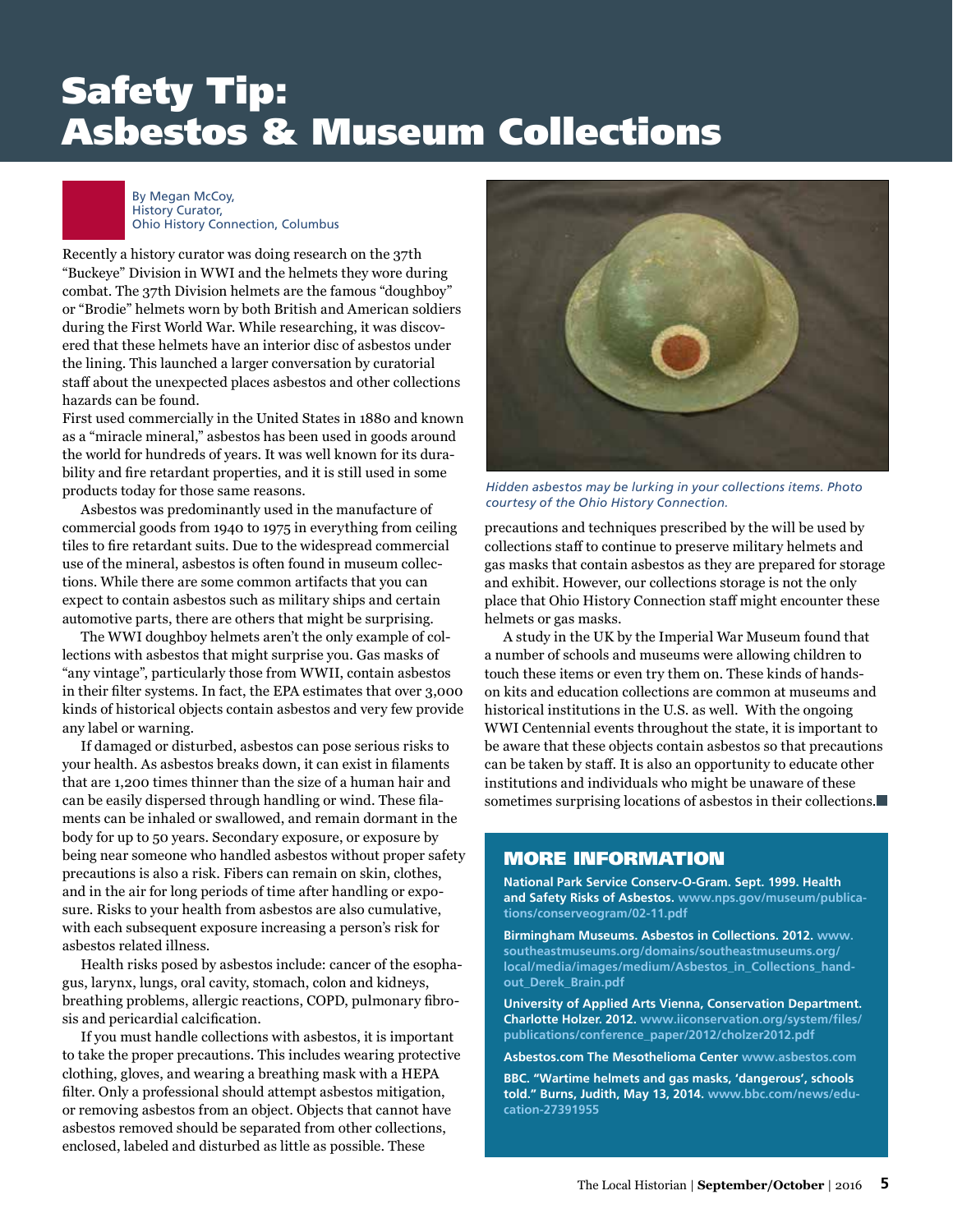# Safety Tip: Asbestos & Museum Collections

### By Megan McCoy, History Curator, Ohio History Connection, Columbus

Recently a history curator was doing research on the 37th "Buckeye" Division in WWI and the helmets they wore during combat. The 37th Division helmets are the famous "doughboy" or "Brodie" helmets worn by both British and American soldiers during the First World War. While researching, it was discovered that these helmets have an interior disc of asbestos under the lining. This launched a larger conversation by curatorial staff about the unexpected places asbestos and other collections hazards can be found.

First used commercially in the United States in 1880 and known as a "miracle mineral," asbestos has been used in goods around the world for hundreds of years. It was well known for its durability and fire retardant properties, and it is still used in some products today for those same reasons.

Asbestos was predominantly used in the manufacture of commercial goods from 1940 to 1975 in everything from ceiling tiles to fire retardant suits. Due to the widespread commercial use of the mineral, asbestos is often found in museum collections. While there are some common artifacts that you can expect to contain asbestos such as military ships and certain automotive parts, there are others that might be surprising.

The WWI doughboy helmets aren't the only example of collections with asbestos that might surprise you. Gas masks of "any vintage", particularly those from WWII, contain asbestos in their filter systems. In fact, the EPA estimates that over 3,000 kinds of historical objects contain asbestos and very few provide any label or warning.

If damaged or disturbed, asbestos can pose serious risks to your health. As asbestos breaks down, it can exist in filaments that are 1,200 times thinner than the size of a human hair and can be easily dispersed through handling or wind. These filaments can be inhaled or swallowed, and remain dormant in the body for up to 50 years. Secondary exposure, or exposure by being near someone who handled asbestos without proper safety precautions is also a risk. Fibers can remain on skin, clothes, and in the air for long periods of time after handling or exposure. Risks to your health from asbestos are also cumulative, with each subsequent exposure increasing a person's risk for asbestos related illness.

Health risks posed by asbestos include: cancer of the esophagus, larynx, lungs, oral cavity, stomach, colon and kidneys, breathing problems, allergic reactions, COPD, pulmonary fibrosis and pericardial calcification.

If you must handle collections with asbestos, it is important to take the proper precautions. This includes wearing protective clothing, gloves, and wearing a breathing mask with a HEPA filter. Only a professional should attempt asbestos mitigation, or removing asbestos from an object. Objects that cannot have asbestos removed should be separated from other collections, enclosed, labeled and disturbed as little as possible. These



*Hidden asbestos may be lurking in your collections items. Photo courtesy of the Ohio History Connection.* 

precautions and techniques prescribed by the will be used by collections staff to continue to preserve military helmets and gas masks that contain asbestos as they are prepared for storage and exhibit. However, our collections storage is not the only place that Ohio History Connection staff might encounter these helmets or gas masks.

A study in the UK by the Imperial War Museum found that a number of schools and museums were allowing children to touch these items or even try them on. These kinds of handson kits and education collections are common at museums and historical institutions in the U.S. as well. With the ongoing WWI Centennial events throughout the state, it is important to be aware that these objects contain asbestos so that precautions can be taken by staff. It is also an opportunity to educate other institutions and individuals who might be unaware of these sometimes surprising locations of asbestos in their collections.

### MORE INFORMATION

**National Park Service Conserv-O-Gram. Sept. 1999. Health and Safety Risks of Asbestos. [www.nps.gov/museum/publica](https://www.nps.gov/museum/publications/conserveogram/02-11.pdf)[tions/conserveogram/02-11.pdf](https://www.nps.gov/museum/publications/conserveogram/02-11.pdf)**

**Birmingham Museums. Asbestos in Collections. 2012. [www.](http://www.southeastmuseums.org/domains/southeastmuseums.org/local/media/images/medium/Asbestos_in_Collections_handout_Derek_Brain.pdf) [southeastmuseums.org/domains/southeastmuseums.org/](http://www.southeastmuseums.org/domains/southeastmuseums.org/local/media/images/medium/Asbestos_in_Collections_handout_Derek_Brain.pdf) [local/media/images/medium/Asbestos\\_in\\_Collections\\_hand](http://www.southeastmuseums.org/domains/southeastmuseums.org/local/media/images/medium/Asbestos_in_Collections_handout_Derek_Brain.pdf)[out\\_Derek\\_Brain.pdf](http://www.southeastmuseums.org/domains/southeastmuseums.org/local/media/images/medium/Asbestos_in_Collections_handout_Derek_Brain.pdf)**

**University of Applied Arts Vienna, Conservation Department. Charlotte Holzer. 2012. [www.iiconservation.org/system/files/](https://www.iiconservation.org/system/files/publications/conference_paper/2012/cholzer2012.pdf) [publications/conference\\_paper/2012/cholzer2012.pdf](https://www.iiconservation.org/system/files/publications/conference_paper/2012/cholzer2012.pdf)**

**[Asbestos.com](http://Asbestos.com) The Mesothelioma Center [www.asbestos.com](http://www.asbestos.com)**

**BBC. "Wartime helmets and gas masks, 'dangerous', schools told." Burns, Judith, May 13, 2014. [www.bbc.com/news/edu](http://www.bbc.com/news/education)[cation-](http://www.bbc.com/news/education)27391955**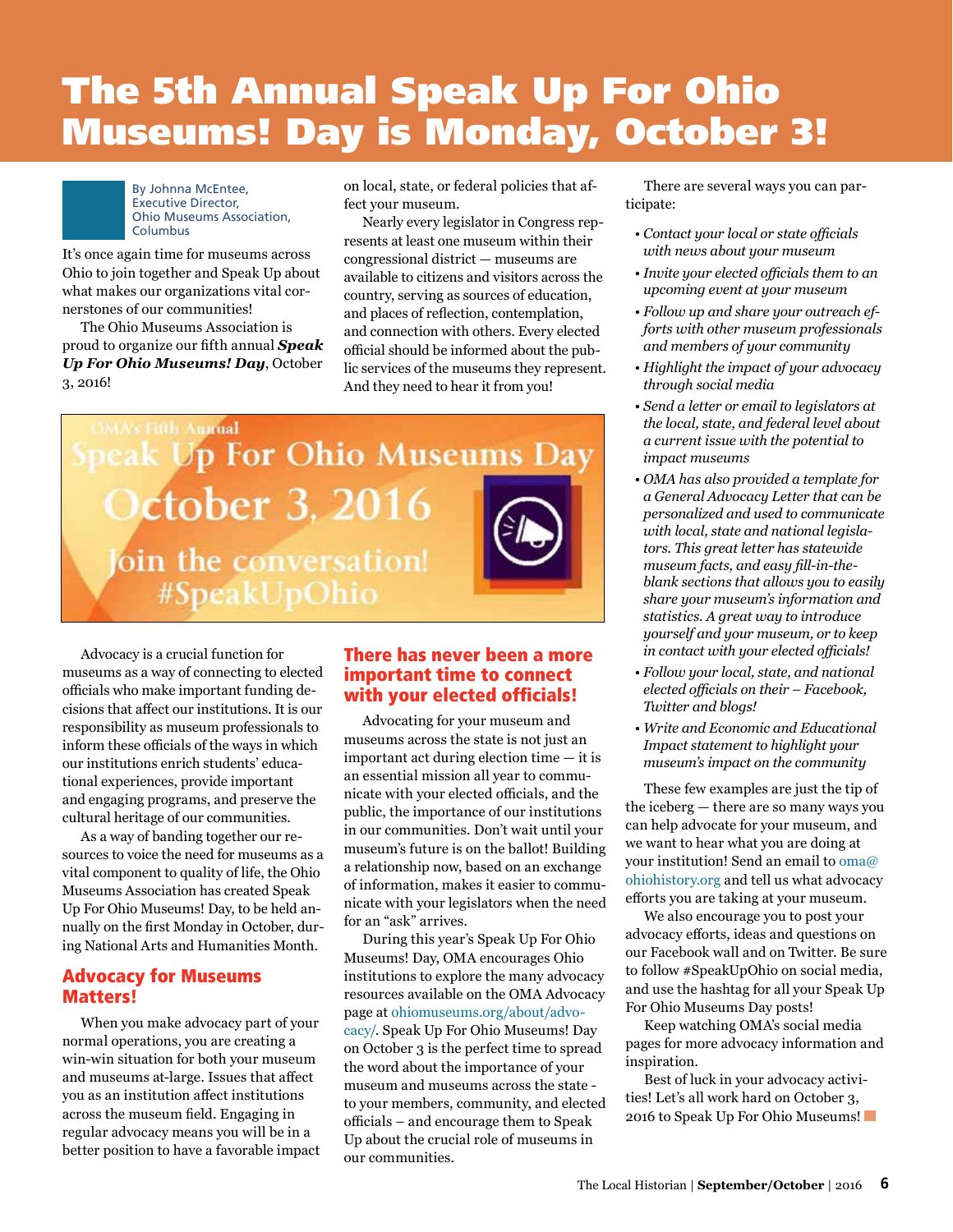# The 5th Annual Speak Up For Ohio Museums! Day is Monday, October 3!



By Johnna McEntee, Executive Director, Ohio Museums Association, Columbus

It's once again time for museums across Ohio to join together and Speak Up about what makes our organizations vital cornerstones of our communities!

The Ohio Museums Association is proud to organize our fifth annual *Speak Up For Ohio Museums! Day*, October 3, 2016!

on local, state, or federal policies that affect your museum.

Nearly every legislator in Congress represents at least one museum within their congressional district — museums are available to citizens and visitors across the country, serving as sources of education, and places of reflection, contemplation, and connection with others. Every elected official should be informed about the public services of the museums they represent. And they need to hear it from you!

**MA's Fifth Annual** eak Up For Ohio Museums Day **October 3, 2016** Join the conversation! #SpeakUpOhio

Advocacy is a crucial function for museums as a way of connecting to elected officials who make important funding decisions that affect our institutions. It is our responsibility as museum professionals to inform these officials of the ways in which our institutions enrich students' educational experiences, provide important and engaging programs, and preserve the cultural heritage of our communities.

As a way of banding together our resources to voice the need for museums as a vital component to quality of life, the Ohio Museums Association has created Speak Up For Ohio Museums! Day, to be held annually on the first Monday in October, during National Arts and Humanities Month.

### Advocacy for Museums Matters!

When you make advocacy part of your normal operations, you are creating a win-win situation for both your museum and museums at-large. Issues that affect you as an institution affect institutions across the museum field. Engaging in regular advocacy means you will be in a better position to have a favorable impact

### There has never been a more important time to connect with your elected officials!

Advocating for your museum and museums across the state is not just an important act during election time — it is an essential mission all year to communicate with your elected officials, and the public, the importance of our institutions in our communities. Don't wait until your museum's future is on the ballot! Building a relationship now, based on an exchange of information, makes it easier to communicate with your legislators when the need for an "ask" arrives.

During this year's Speak Up For Ohio Museums! Day, OMA encourages Ohio institutions to explore the many advocacy resources available on the OMA Advocacy page at [ohiomuseums.org/about/advo](http://ohiomuseums.org/about/advocacy/)[cacy/](http://ohiomuseums.org/about/advocacy/). Speak Up For Ohio Museums! Day on October 3 is the perfect time to spread the word about the importance of your museum and museums across the state to your members, community, and elected officials – and encourage them to Speak Up about the crucial role of museums in our communities.

There are several ways you can participate:

- *Contact your local or state officials with news about your museum*
- *Invite your elected officials them to an upcoming event at your museum*
- *Follow up and share your outreach efforts with other museum professionals and members of your community*
- *Highlight the impact of your advocacy through social media*
- *Send a letter or email to legislators at the local, state, and federal level about a current issue with the potential to impact museums*
- *OMA has also provided a template for a General Advocacy Letter that can be personalized and used to communicate with local, state and national legislators. This great letter has statewide museum facts, and easy fill-in-theblank sections that allows you to easily share your museum's information and statistics. A great way to introduce yourself and your museum, or to keep in contact with your elected officials!*
- *Follow your local, state, and national elected officials on their – Facebook, Twitter and blogs!*
- *Write and Economic and Educational Impact statement to highlight your museum's impact on the community*

These few examples are just the tip of the iceberg — there are so many ways you can help advocate for your museum, and we want to hear what you are doing at your institution! Send an email to [oma@](mailto:oma@ohiohistory.org) [ohiohistory.org](mailto:oma@ohiohistory.org) and tell us what advocacy efforts you are taking at your museum.

We also encourage you to post your advocacy efforts, ideas and questions on our Facebook wall and on Twitter. Be sure to follow #SpeakUpOhio on social media, and use the hashtag for all your Speak Up For Ohio Museums Day posts!

Keep watching OMA's social media pages for more advocacy information and inspiration.

Best of luck in your advocacy activities! Let's all work hard on October 3, 2016 to Speak Up For Ohio Museums!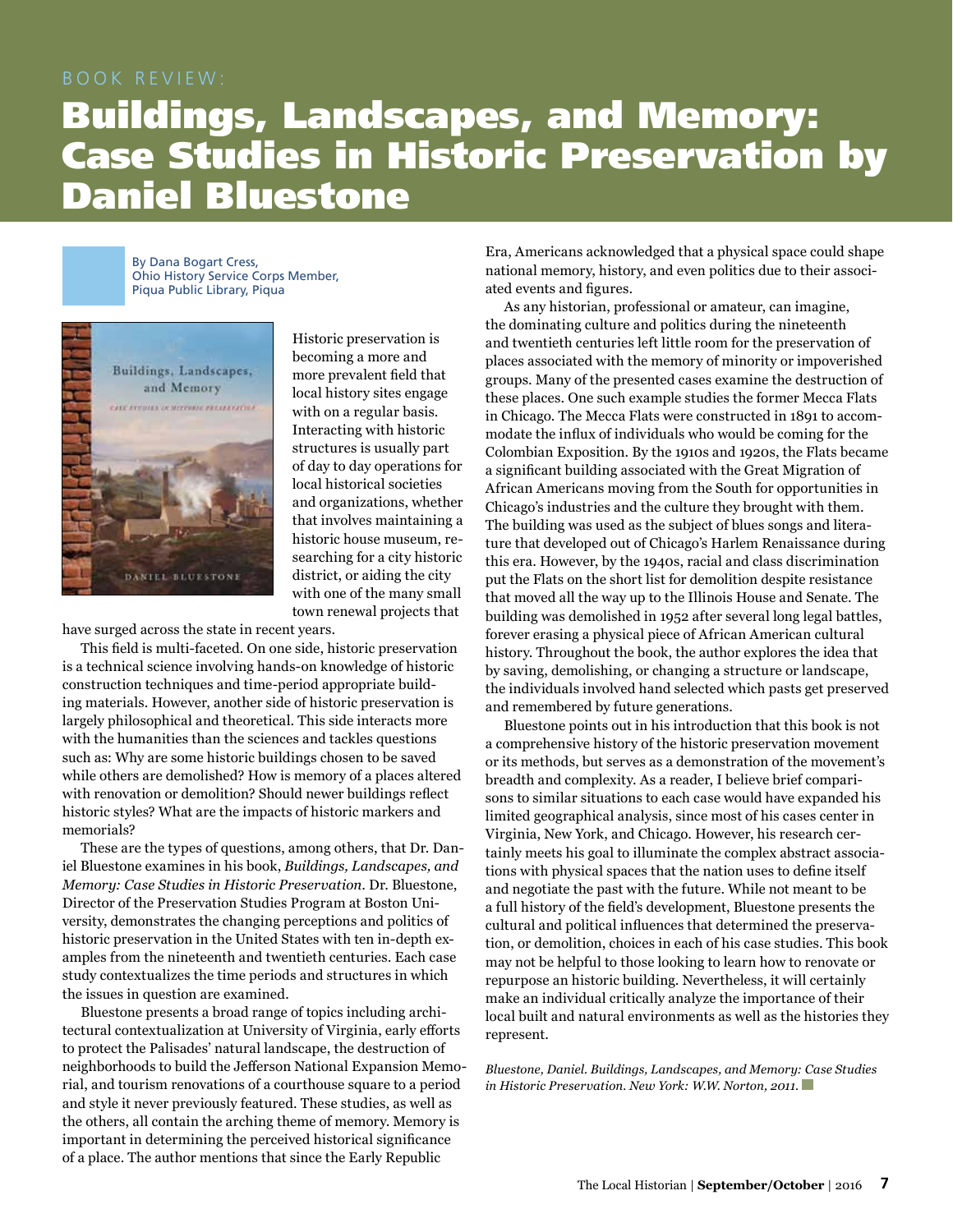### BOOK REVIEW:

# Buildings, Landscapes, and Memory: Case Studies in Historic Preservation by Daniel Bluestone

By Dana Bogart Cress, Ohio History Service Corps Member, Piqua Public Library, Piqua



Historic preservation is becoming a more and more prevalent field that local history sites engage with on a regular basis. Interacting with historic structures is usually part of day to day operations for local historical societies and organizations, whether that involves maintaining a historic house museum, researching for a city historic district, or aiding the city with one of the many small town renewal projects that

have surged across the state in recent years.

This field is multi-faceted. On one side, historic preservation is a technical science involving hands-on knowledge of historic construction techniques and time-period appropriate building materials. However, another side of historic preservation is largely philosophical and theoretical. This side interacts more with the humanities than the sciences and tackles questions such as: Why are some historic buildings chosen to be saved while others are demolished? How is memory of a places altered with renovation or demolition? Should newer buildings reflect historic styles? What are the impacts of historic markers and memorials?

These are the types of questions, among others, that Dr. Daniel Bluestone examines in his book, *Buildings, Landscapes, and Memory: Case Studies in Historic Preservation*. Dr. Bluestone, Director of the Preservation Studies Program at Boston University, demonstrates the changing perceptions and politics of historic preservation in the United States with ten in-depth examples from the nineteenth and twentieth centuries. Each case study contextualizes the time periods and structures in which the issues in question are examined.

Bluestone presents a broad range of topics including architectural contextualization at University of Virginia, early efforts to protect the Palisades' natural landscape, the destruction of neighborhoods to build the Jefferson National Expansion Memorial, and tourism renovations of a courthouse square to a period and style it never previously featured. These studies, as well as the others, all contain the arching theme of memory. Memory is important in determining the perceived historical significance of a place. The author mentions that since the Early Republic

Era, Americans acknowledged that a physical space could shape national memory, history, and even politics due to their associated events and figures.

As any historian, professional or amateur, can imagine, the dominating culture and politics during the nineteenth and twentieth centuries left little room for the preservation of places associated with the memory of minority or impoverished groups. Many of the presented cases examine the destruction of these places. One such example studies the former Mecca Flats in Chicago. The Mecca Flats were constructed in 1891 to accommodate the influx of individuals who would be coming for the Colombian Exposition. By the 1910s and 1920s, the Flats became a significant building associated with the Great Migration of African Americans moving from the South for opportunities in Chicago's industries and the culture they brought with them. The building was used as the subject of blues songs and literature that developed out of Chicago's Harlem Renaissance during this era. However, by the 1940s, racial and class discrimination put the Flats on the short list for demolition despite resistance that moved all the way up to the Illinois House and Senate. The building was demolished in 1952 after several long legal battles, forever erasing a physical piece of African American cultural history. Throughout the book, the author explores the idea that by saving, demolishing, or changing a structure or landscape, the individuals involved hand selected which pasts get preserved and remembered by future generations.

Bluestone points out in his introduction that this book is not a comprehensive history of the historic preservation movement or its methods, but serves as a demonstration of the movement's breadth and complexity. As a reader, I believe brief comparisons to similar situations to each case would have expanded his limited geographical analysis, since most of his cases center in Virginia, New York, and Chicago. However, his research certainly meets his goal to illuminate the complex abstract associations with physical spaces that the nation uses to define itself and negotiate the past with the future. While not meant to be a full history of the field's development, Bluestone presents the cultural and political influences that determined the preservation, or demolition, choices in each of his case studies. This book may not be helpful to those looking to learn how to renovate or repurpose an historic building. Nevertheless, it will certainly make an individual critically analyze the importance of their local built and natural environments as well as the histories they represent.

*Bluestone, Daniel. Buildings, Landscapes, and Memory: Case Studies in Historic Preservation. New York: W.W. Norton, 2011.*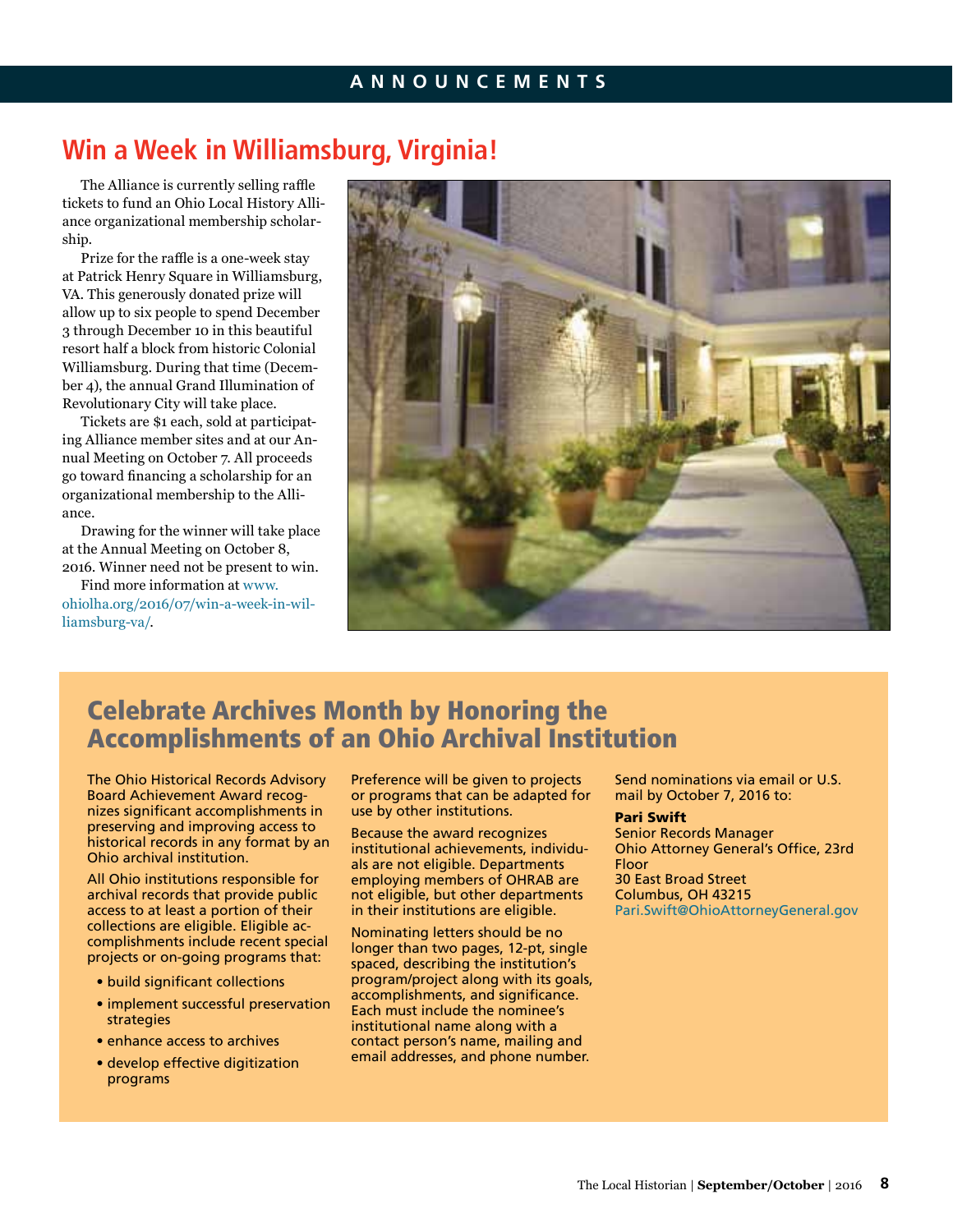# **Win a Week in Williamsburg, Virginia!**

The Alliance is currently selling raffle tickets to fund an Ohio Local History Alliance organizational membership scholarship.

Prize for the raffle is a one-week stay at Patrick Henry Square in Williamsburg, VA. This generously donated prize will allow up to six people to spend December 3 through December 10 in this beautiful resort half a block from historic Colonial Williamsburg. During that time (December 4), the annual Grand Illumination of Revolutionary City will take place.

Tickets are \$1 each, sold at participating Alliance member sites and at our Annual Meeting on October 7. All proceeds go toward financing a scholarship for an organizational membership to the Alliance.

Drawing for the winner will take place at the Annual Meeting on October 8, 2016. Winner need not be present to win.

Find more information at [www.](http://www.ohiolha.org/2016/07/win-a-week-in-williamsburg-va/) [ohiolha.org/2016/07/win-](http://www.ohiolha.org/2016/07/win-a-week-in-williamsburg-va/)a-week-in-williamsburg-va/.



# Celebrate Archives Month by Honoring the Accomplishments of an Ohio Archival Institution

The Ohio Historical Records Advisory Board Achievement Award recognizes significant accomplishments in preserving and improving access to historical records in any format by an Ohio archival institution.

All Ohio institutions responsible for archival records that provide public access to at least a portion of their collections are eligible. Eligible accomplishments include recent special projects or on-going programs that:

- build significant collections
- implement successful preservation strategies
- enhance access to archives
- develop effective digitization programs

Preference will be given to projects or programs that can be adapted for use by other institutions.

Because the award recognizes institutional achievements, individuals are not eligible. Departments employing members of OHRAB are not eligible, but other departments in their institutions are eligible.

Nominating letters should be no longer than two pages, 12-pt, single spaced, describing the institution's program/project along with its goals, accomplishments, and significance. Each must include the nominee's institutional name along with a contact person's name, mailing and email addresses, and phone number.

Send nominations via email or U.S. mail by October 7, 2016 to:

### Pari Swift

Senior Records Manager Ohio Attorney General's Office, 23rd Floor 30 East Broad Street Columbus, OH 43215 [Pari.Swift@OhioAttorneyGeneral.gov](mailto:Pari.Swift@OhioAttorneyGeneral.gov)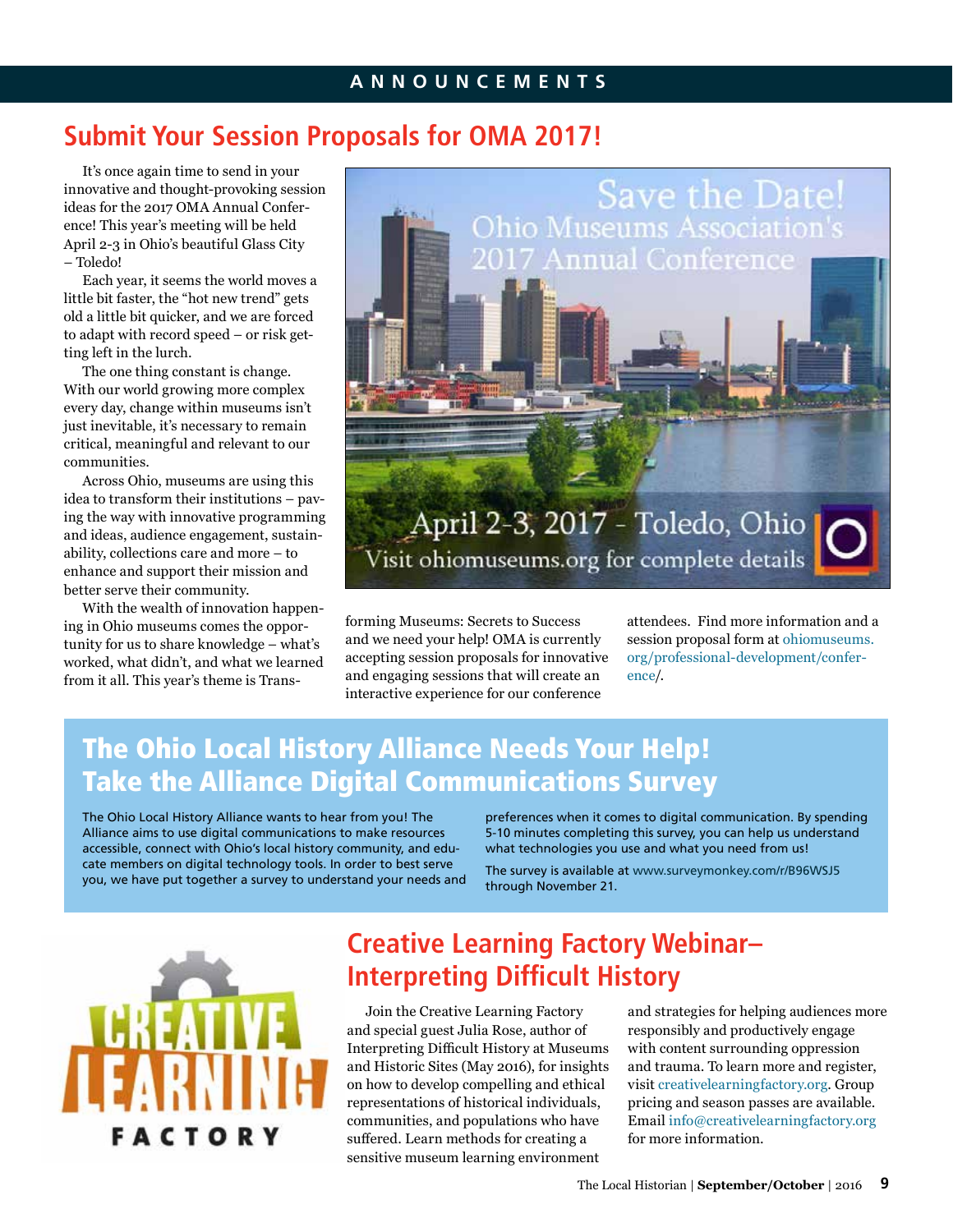# **Submit Your Session Proposals for OMA 2017!**

It's once again time to send in your innovative and thought-provoking session ideas for the 2017 OMA Annual Conference! This year's meeting will be held April 2-3 in Ohio's beautiful Glass City – Toledo!

Each year, it seems the world moves a little bit faster, the "hot new trend" gets old a little bit quicker, and we are forced to adapt with record speed – or risk getting left in the lurch.

The one thing constant is change. With our world growing more complex every day, change within museums isn't just inevitable, it's necessary to remain critical, meaningful and relevant to our communities.

Across Ohio, museums are using this idea to transform their institutions – paving the way with innovative programming and ideas, audience engagement, sustainability, collections care and more – to enhance and support their mission and better serve their community.

With the wealth of innovation happening in Ohio museums comes the opportunity for us to share knowledge – what's worked, what didn't, and what we learned from it all. This year's theme is Trans-



forming Museums: Secrets to Success and we need your help! OMA is currently accepting session proposals for innovative and engaging sessions that will create an interactive experience for our conference

attendees. Find more information and a session proposal form at [ohiomuseums.](http://ohiomuseums.org/professional-development/conference) [org/professional-development/confer](http://ohiomuseums.org/professional-development/conference)[ence](http://ohiomuseums.org/professional-development/conference)/.

# The Ohio Local History Alliance Needs Your Help! Take the Alliance Digital Communications Survey

The Ohio Local History Alliance wants to hear from you! The Alliance aims to use digital communications to make resources accessible, connect with Ohio's local history community, and educate members on digital technology tools. In order to best serve you, we have put together a survey to understand your needs and preferences when it comes to digital communication. By spending 5-10 minutes completing this survey, you can help us understand what technologies you use and what you need from us!

The survey is available at [www.surveymonkey.com/r/B96WSJ5](https://www.surveymonkey.com/r/B96WSJ5) through November 21.



# **Creative Learning Factory Webinar– Interpreting Difficult History**

Join the Creative Learning Factory and special guest Julia Rose, author of Interpreting Difficult History at Museums and Historic Sites (May 2016), for insights on how to develop compelling and ethical representations of historical individuals, communities, and populations who have suffered. Learn methods for creating a sensitive museum learning environment

and strategies for helping audiences more responsibly and productively engage with content surrounding oppression and trauma. To learn more and register, visit [creativelearningfactory.org.](http://creativelearningfactory.org) Group pricing and season passes are available. Email [info@creativelearningfactory.org](mailto:info@creativelearningfactory.org) for more information.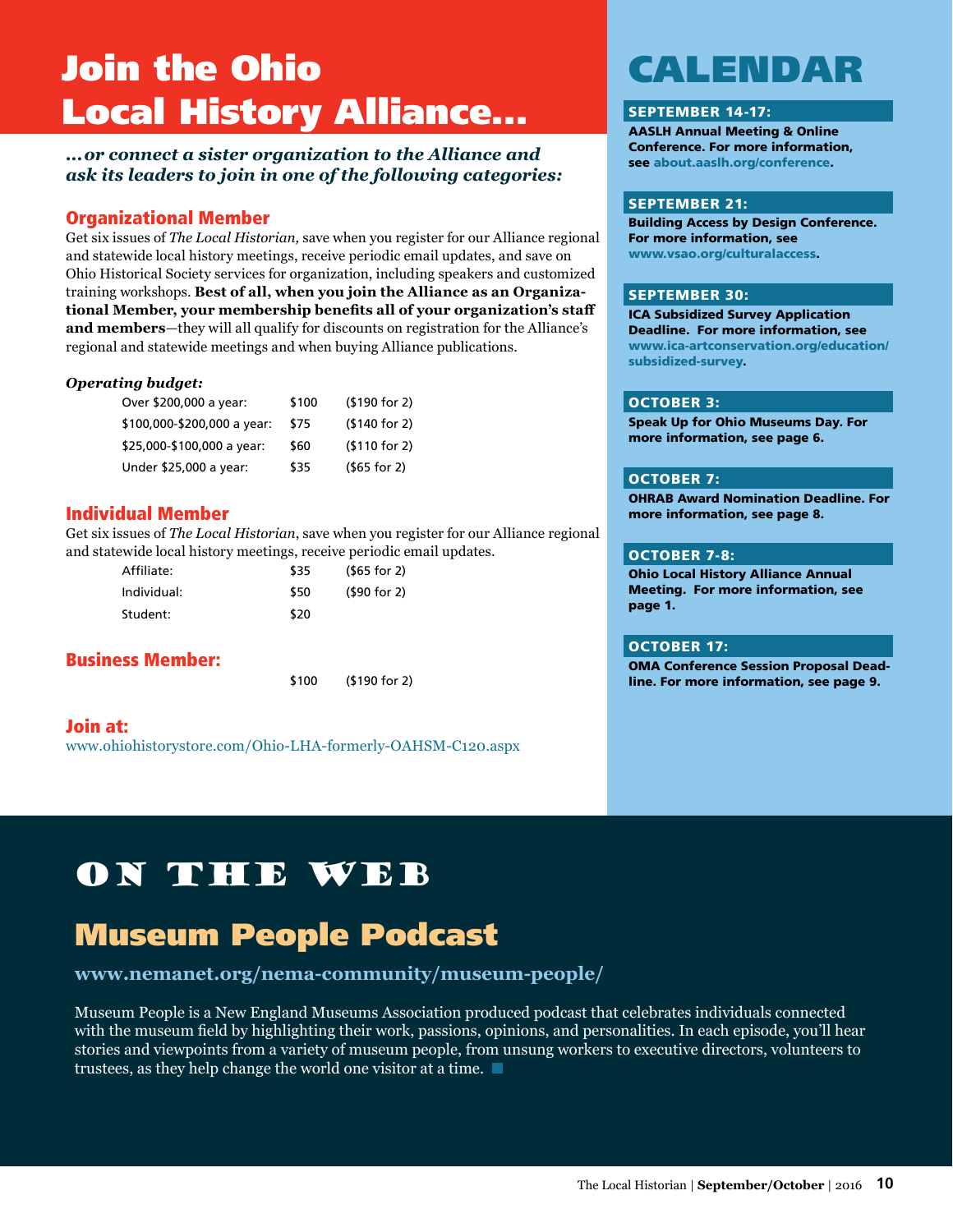# Join the Ohio Local History Alliance...

### *...or connect a sister organization to the Alliance and ask its leaders to join in one of the following categories:*

## Organizational Member

Get six issues of *The Local Historian,* save when you register for our Alliance regional and statewide local history meetings, receive periodic email updates, and save on Ohio Historical Society services for organization, including speakers and customized training workshops. **Best of all, when you join the Alliance as an Organizational Member, your membership benefits all of your organization's staff and members**—they will all qualify for discounts on registration for the Alliance's regional and statewide meetings and when buying Alliance publications.

### *Operating budget:*

| Over \$200,000 a year:      | \$100 | ( \$190 for 2) |
|-----------------------------|-------|----------------|
| \$100,000-\$200,000 a year: | \$75  | (\$140 for 2)  |
| \$25,000-\$100,000 a year:  | \$60  | ( \$110 for 2) |
| Under \$25,000 a year:      | \$35  | $(565$ for 2)  |

### Individual Member

Get six issues of *The Local Historian*, save when you register for our Alliance regional and statewide local history meetings, receive periodic email updates.

| Affiliate:  | \$35 | $(565$ for 2) |
|-------------|------|---------------|
| Individual: | \$50 | (90 for 2)    |
| Student:    | \$20 |               |

## Business Member:

\$100 (\$190 for 2)

### Join at: [www.ohiohistorystore.com/Ohio-LHA-formerly-OAHSM-C120.aspx](http://www.ohiohistorystore.com/Ohio-LHA-formerly-OAHSM-C120.aspx)

# CALENDAR

### SEPTEMBER 14-17:

AASLH Annual Meeting & Online Conference. For more information, see [about.aaslh.org/conference](http://about.aaslh.org/conference).

### SEPTEMBER 21:

Building Access by Design Conference. For more information, see [www.vsao.org/culturalaccess](http://www.vsao.org/culturalaccess).

### SEPTEMBER 30:

ICA Subsidized Survey Application Deadline. For more information, see [www.ica-artconservation.org/education/](http://www.ica-artconservation.org/education/subsidized) [subsidized-](http://www.ica-artconservation.org/education/subsidized)survey.

### OCTOBER 3:

Speak Up for Ohio Museums Day. For more information, see page 6.

### OCTOBER 7:

OHRAB Award Nomination Deadline. For more information, see page 8.

### OCTOBER 7-8:

Ohio Local History Alliance Annual Meeting. For more information, see page 1.

### OCTOBER 17:

OMA Conference Session Proposal Deadline. For more information, see page 9.

# On the Web

# Museum People Podcast

## **[www.nemanet.org/nema-community/museum-](http://www.nemanet.org/nema-community/museum-people/ 
)people/**

Museum People is a New England Museums Association produced podcast that celebrates individuals connected with the museum field by highlighting their work, passions, opinions, and personalities. In each episode, you'll hear stories and viewpoints from a variety of museum people, from unsung workers to executive directors, volunteers to trustees, as they help change the world one visitor at a time.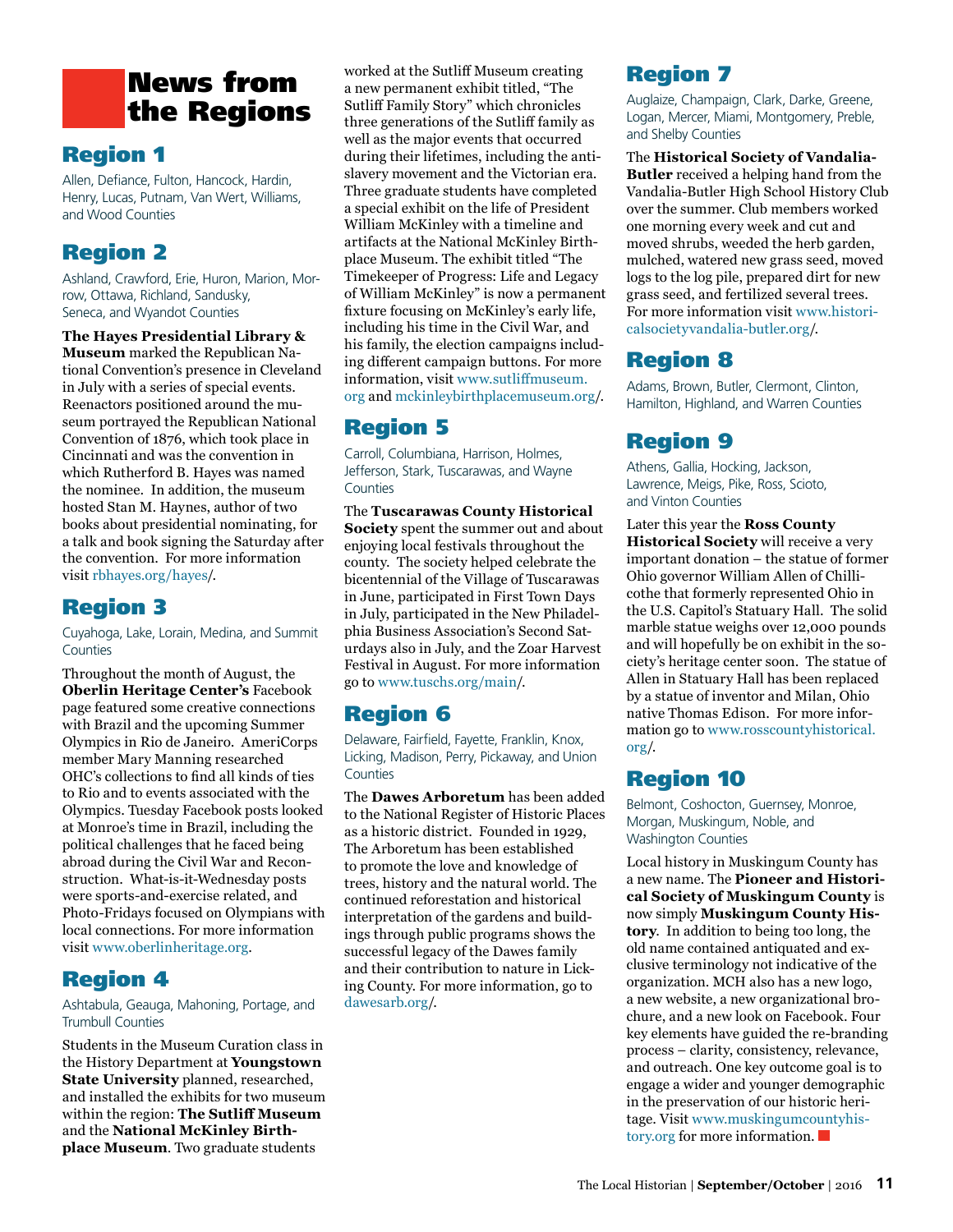# News from the Regions

## Region 1

Allen, Defiance, Fulton, Hancock, Hardin, Henry, Lucas, Putnam, Van Wert, Williams, and Wood Counties

## Region 2

Ashland, Crawford, Erie, Huron, Marion, Morrow, Ottawa, Richland, Sandusky, Seneca, and Wyandot Counties

**The Hayes Presidential Library &** 

**Museum** marked the Republican National Convention's presence in Cleveland in July with a series of special events. Reenactors positioned around the museum portrayed the Republican National Convention of 1876, which took place in Cincinnati and was the convention in which Rutherford B. Hayes was named the nominee. In addition, the museum hosted Stan M. Haynes, author of two books about presidential nominating, for a talk and book signing the Saturday after the convention. For more information visit [rbhayes.org/hayes](http://rbhayes.org/hayes)/.

## Region 3

Cuyahoga, Lake, Lorain, Medina, and Summit Counties

Throughout the month of August, the **Oberlin Heritage Center's** Facebook page featured some creative connections with Brazil and the upcoming Summer Olympics in Rio de Janeiro. AmeriCorps member Mary Manning researched OHC's collections to find all kinds of ties to Rio and to events associated with the Olympics. Tuesday Facebook posts looked at Monroe's time in Brazil, including the political challenges that he faced being abroad during the Civil War and Reconstruction. What-is-it-Wednesday posts were sports-and-exercise related, and Photo-Fridays focused on Olympians with local connections. For more information visit [www.oberlinheritage.org.](http://www.oberlinheritage.org)

## Region 4

Ashtabula, Geauga, Mahoning, Portage, and Trumbull Counties

Students in the Museum Curation class in the History Department at **Youngstown State University** planned, researched, and installed the exhibits for two museum within the region: **The Sutliff Museum** and the **National McKinley Birthplace Museum**. Two graduate students

worked at the Sutliff Museum creating a new permanent exhibit titled, "The Sutliff Family Story" which chronicles three generations of the Sutliff family as well as the major events that occurred during their lifetimes, including the antislavery movement and the Victorian era. Three graduate students have completed a special exhibit on the life of President William McKinley with a timeline and artifacts at the National McKinley Birthplace Museum. The exhibit titled "The Timekeeper of Progress: Life and Legacy of William McKinley" is now a permanent fixture focusing on McKinley's early life, including his time in the Civil War, and his family, the election campaigns including different campaign buttons. For more information, visit [www.sutliffmuseum.](http://www.sutliffmuseum.org) [org](http://www.sutliffmuseum.org) and [mckinleybirthplacemuseum.org](https://mckinleybirthplacemuseum.org)/.

## Region 5

Carroll, Columbiana, Harrison, Holmes, Jefferson, Stark, Tuscarawas, and Wayne **Counties** 

The **Tuscarawas County Historical Society** spent the summer out and about enjoying local festivals throughout the county. The society helped celebrate the bicentennial of the Village of Tuscarawas in June, participated in First Town Days in July, participated in the New Philadelphia Business Association's Second Saturdays also in July, and the Zoar Harvest Festival in August. For more information go to [www.tuschs.org/main](http://www.tuschs.org/main)/.

## Region 6

Delaware, Fairfield, Fayette, Franklin, Knox, Licking, Madison, Perry, Pickaway, and Union Counties

The **Dawes Arboretum** has been added to the National Register of Historic Places as a historic district. Founded in 1929, The Arboretum has been established to promote the love and knowledge of trees, history and the natural world. The continued reforestation and historical interpretation of the gardens and buildings through public programs shows the successful legacy of the Dawes family and their contribution to nature in Licking County. For more information, go to [dawesarb.org](http://dawesarb.org)/.

# Region 7

Auglaize, Champaign, Clark, Darke, Greene, Logan, Mercer, Miami, Montgomery, Preble, and Shelby Counties

The **Historical Society of Vandalia-Butler** received a helping hand from the Vandalia-Butler High School History Club over the summer. Club members worked one morning every week and cut and moved shrubs, weeded the herb garden, mulched, watered new grass seed, moved logs to the log pile, prepared dirt for new grass seed, and fertilized several trees. For more information visit [www.histori](http://www.historicalsocietyvandalia-butler.org)[calsocietyvandalia-butler.org](http://www.historicalsocietyvandalia-butler.org)/.

## Region 8

Adams, Brown, Butler, Clermont, Clinton, Hamilton, Highland, and Warren Counties

## Region 9

Athens, Gallia, Hocking, Jackson, Lawrence, Meigs, Pike, Ross, Scioto, and Vinton Counties

Later this year the **Ross County Historical Society** will receive a very important donation – the statue of former Ohio governor William Allen of Chillicothe that formerly represented Ohio in the U.S. Capitol's Statuary Hall. The solid marble statue weighs over 12,000 pounds and will hopefully be on exhibit in the society's heritage center soon. The statue of Allen in Statuary Hall has been replaced by a statue of inventor and Milan, Ohio native Thomas Edison. For more information go to [www.rosscountyhistorical.](http://www.rosscountyhistorical.org) [org/](http://www.rosscountyhistorical.org).

## Region 10

Belmont, Coshocton, Guernsey, Monroe, Morgan, Muskingum, Noble, and Washington Counties

Local history in Muskingum County has a new name. The **Pioneer and Historical Society of Muskingum County** is now simply **Muskingum County History**. In addition to being too long, the old name contained antiquated and exclusive terminology not indicative of the organization. MCH also has a new logo, a new website, a new organizational brochure, and a new look on Facebook. Four key elements have guided the re-branding process – clarity, consistency, relevance, and outreach. One key outcome goal is to engage a wider and younger demographic in the preservation of our historic heritage. Visit [www.muskingumcountyhis](http://www.muskingumcountyhistory.org)[tory.org](http://www.muskingumcountyhistory.org) for more information.